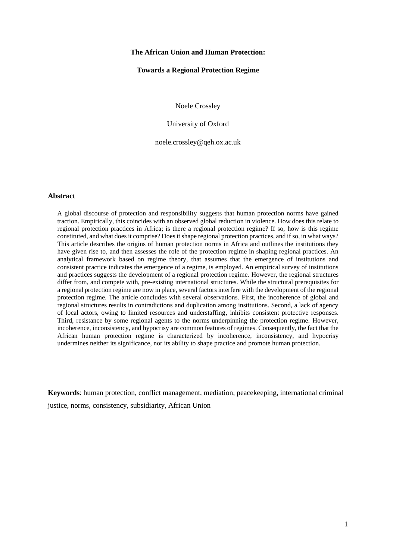## **The African Union and Human Protection:**

# **Towards a Regional Protection Regime**

Noele Crossley

University of Oxford

noele.crossley@qeh.ox.ac.uk

## **Abstract**

A global discourse of protection and responsibility suggests that human protection norms have gained traction. Empirically, this coincides with an observed global reduction in violence. How does this relate to regional protection practices in Africa; is there a regional protection regime? If so, how is this regime constituted, and what does it comprise? Does it shape regional protection practices, and if so, in what ways? This article describes the origins of human protection norms in Africa and outlines the institutions they have given rise to, and then assesses the role of the protection regime in shaping regional practices. An analytical framework based on regime theory, that assumes that the emergence of institutions and consistent practice indicates the emergence of a regime, is employed. An empirical survey of institutions and practices suggests the development of a regional protection regime. However, the regional structures differ from, and compete with, pre-existing international structures. While the structural prerequisites for a regional protection regime are now in place, several factors interfere with the development of the regional protection regime. The article concludes with several observations. First, the incoherence of global and regional structures results in contradictions and duplication among institutions. Second, a lack of agency of local actors, owing to limited resources and understaffing, inhibits consistent protective responses. Third, resistance by some regional agents to the norms underpinning the protection regime. However, incoherence, inconsistency, and hypocrisy are common features of regimes. Consequently, the fact that the African human protection regime is characterized by incoherence, inconsistency, and hypocrisy undermines neither its significance, nor its ability to shape practice and promote human protection.

**Keywords**: human protection, conflict management, mediation, peacekeeping, international criminal justice, norms, consistency, subsidiarity, African Union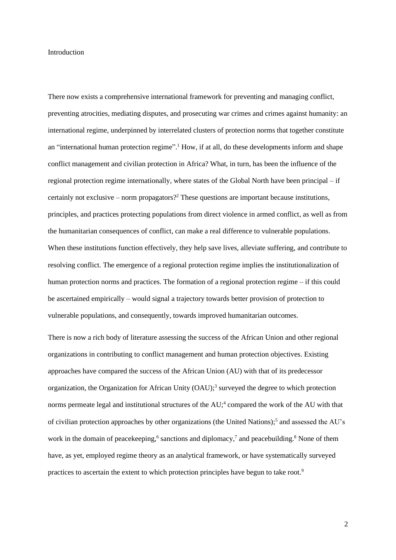## Introduction

There now exists a comprehensive international framework for preventing and managing conflict, preventing atrocities, mediating disputes, and prosecuting war crimes and crimes against humanity: an international regime, underpinned by interrelated clusters of protection norms that together constitute an "international human protection regime".<sup>1</sup> How, if at all, do these developments inform and shape conflict management and civilian protection in Africa? What, in turn, has been the influence of the regional protection regime internationally, where states of the Global North have been principal – if certainly not exclusive – norm propagators?<sup>2</sup> These questions are important because institutions, principles, and practices protecting populations from direct violence in armed conflict, as well as from the humanitarian consequences of conflict, can make a real difference to vulnerable populations. When these institutions function effectively, they help save lives, alleviate suffering, and contribute to resolving conflict. The emergence of a regional protection regime implies the institutionalization of human protection norms and practices. The formation of a regional protection regime – if this could be ascertained empirically – would signal a trajectory towards better provision of protection to vulnerable populations, and consequently, towards improved humanitarian outcomes.

There is now a rich body of literature assessing the success of the African Union and other regional organizations in contributing to conflict management and human protection objectives. Existing approaches have compared the success of the African Union (AU) with that of its predecessor organization, the Organization for African Unity (OAU); 3 surveyed the degree to which protection norms permeate legal and institutional structures of the AU;<sup>4</sup> compared the work of the AU with that of civilian protection approaches by other organizations (the United Nations);<sup>5</sup> and assessed the AU's work in the domain of peacekeeping,<sup>6</sup> sanctions and diplomacy,<sup>7</sup> and peacebuilding.<sup>8</sup> None of them have, as yet, employed regime theory as an analytical framework, or have systematically surveyed practices to ascertain the extent to which protection principles have begun to take root.9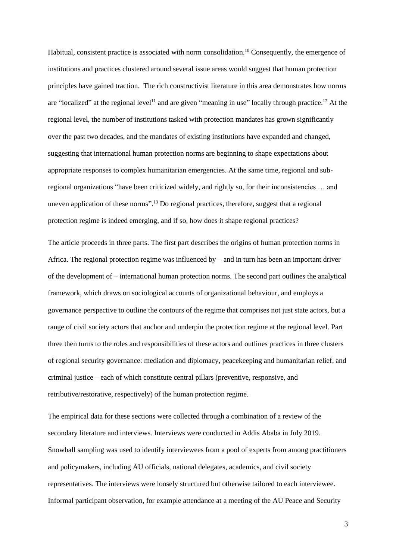Habitual, consistent practice is associated with norm consolidation.<sup>10</sup> Consequently, the emergence of institutions and practices clustered around several issue areas would suggest that human protection principles have gained traction. The rich constructivist literature in this area demonstrates how norms are "localized" at the regional level<sup>11</sup> and are given "meaning in use" locally through practice.<sup>12</sup> At the regional level, the number of institutions tasked with protection mandates has grown significantly over the past two decades, and the mandates of existing institutions have expanded and changed, suggesting that international human protection norms are beginning to shape expectations about appropriate responses to complex humanitarian emergencies. At the same time, regional and subregional organizations "have been criticized widely, and rightly so, for their inconsistencies … and uneven application of these norms".<sup>13</sup> Do regional practices, therefore, suggest that a regional protection regime is indeed emerging, and if so, how does it shape regional practices?

The article proceeds in three parts. The first part describes the origins of human protection norms in Africa. The regional protection regime was influenced by – and in turn has been an important driver of the development of – international human protection norms. The second part outlines the analytical framework, which draws on sociological accounts of organizational behaviour, and employs a governance perspective to outline the contours of the regime that comprises not just state actors, but a range of civil society actors that anchor and underpin the protection regime at the regional level. Part three then turns to the roles and responsibilities of these actors and outlines practices in three clusters of regional security governance: mediation and diplomacy, peacekeeping and humanitarian relief, and criminal justice – each of which constitute central pillars (preventive, responsive, and retributive/restorative, respectively) of the human protection regime.

The empirical data for these sections were collected through a combination of a review of the secondary literature and interviews. Interviews were conducted in Addis Ababa in July 2019. Snowball sampling was used to identify interviewees from a pool of experts from among practitioners and policymakers, including AU officials, national delegates, academics, and civil society representatives. The interviews were loosely structured but otherwise tailored to each interviewee. Informal participant observation, for example attendance at a meeting of the AU Peace and Security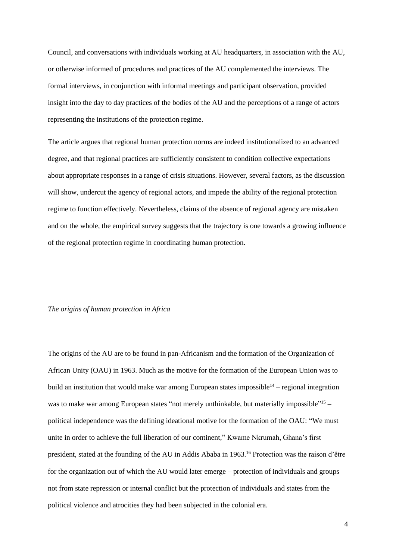Council, and conversations with individuals working at AU headquarters, in association with the AU, or otherwise informed of procedures and practices of the AU complemented the interviews. The formal interviews, in conjunction with informal meetings and participant observation, provided insight into the day to day practices of the bodies of the AU and the perceptions of a range of actors representing the institutions of the protection regime.

The article argues that regional human protection norms are indeed institutionalized to an advanced degree, and that regional practices are sufficiently consistent to condition collective expectations about appropriate responses in a range of crisis situations. However, several factors, as the discussion will show, undercut the agency of regional actors, and impede the ability of the regional protection regime to function effectively. Nevertheless, claims of the absence of regional agency are mistaken and on the whole, the empirical survey suggests that the trajectory is one towards a growing influence of the regional protection regime in coordinating human protection.

# *The origins of human protection in Africa*

The origins of the AU are to be found in pan-Africanism and the formation of the Organization of African Unity (OAU) in 1963. Much as the motive for the formation of the European Union was to build an institution that would make war among European states impossible<sup>14</sup> – regional integration was to make war among European states "not merely unthinkable, but materially impossible"<sup>15</sup> political independence was the defining ideational motive for the formation of the OAU: "We must unite in order to achieve the full liberation of our continent," Kwame Nkrumah, Ghana's first president, stated at the founding of the AU in Addis Ababa in 1963.<sup>16</sup> Protection was the raison d'être for the organization out of which the AU would later emerge – protection of individuals and groups not from state repression or internal conflict but the protection of individuals and states from the political violence and atrocities they had been subjected in the colonial era.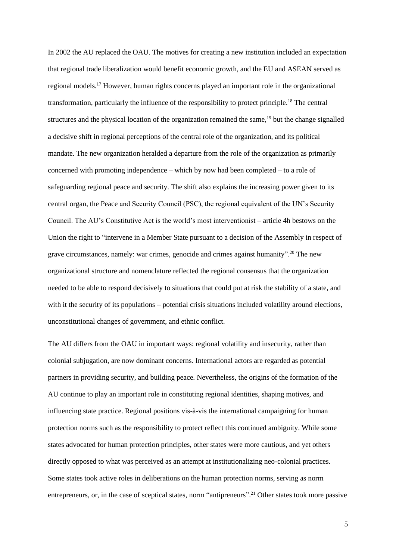In 2002 the AU replaced the OAU. The motives for creating a new institution included an expectation that regional trade liberalization would benefit economic growth, and the EU and ASEAN served as regional models.<sup>17</sup> However, human rights concerns played an important role in the organizational transformation, particularly the influence of the responsibility to protect principle.<sup>18</sup> The central structures and the physical location of the organization remained the same.<sup>19</sup> but the change signalled a decisive shift in regional perceptions of the central role of the organization, and its political mandate. The new organization heralded a departure from the role of the organization as primarily concerned with promoting independence – which by now had been completed – to a role of safeguarding regional peace and security. The shift also explains the increasing power given to its central organ, the Peace and Security Council (PSC), the regional equivalent of the UN's Security Council. The AU's Constitutive Act is the world's most interventionist – article 4h bestows on the Union the right to "intervene in a Member State pursuant to a decision of the Assembly in respect of grave circumstances, namely: war crimes, genocide and crimes against humanity". <sup>20</sup> The new organizational structure and nomenclature reflected the regional consensus that the organization needed to be able to respond decisively to situations that could put at risk the stability of a state, and with it the security of its populations – potential crisis situations included volatility around elections, unconstitutional changes of government, and ethnic conflict.

The AU differs from the OAU in important ways: regional volatility and insecurity, rather than colonial subjugation, are now dominant concerns. International actors are regarded as potential partners in providing security, and building peace. Nevertheless, the origins of the formation of the AU continue to play an important role in constituting regional identities, shaping motives, and influencing state practice. Regional positions vis-à-vis the international campaigning for human protection norms such as the responsibility to protect reflect this continued ambiguity. While some states advocated for human protection principles, other states were more cautious, and yet others directly opposed to what was perceived as an attempt at institutionalizing neo-colonial practices. Some states took active roles in deliberations on the human protection norms, serving as norm entrepreneurs, or, in the case of sceptical states, norm "antipreneurs".<sup>21</sup> Other states took more passive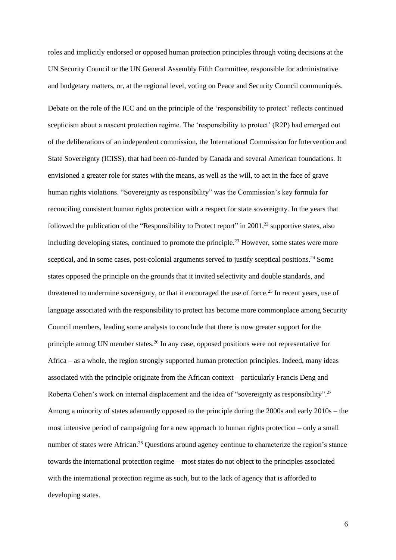roles and implicitly endorsed or opposed human protection principles through voting decisions at the UN Security Council or the UN General Assembly Fifth Committee, responsible for administrative and budgetary matters, or, at the regional level, voting on Peace and Security Council communiqués. Debate on the role of the ICC and on the principle of the 'responsibility to protect' reflects continued scepticism about a nascent protection regime. The 'responsibility to protect' (R2P) had emerged out of the deliberations of an independent commission, the International Commission for Intervention and State Sovereignty (ICISS), that had been co-funded by Canada and several American foundations. It envisioned a greater role for states with the means, as well as the will, to act in the face of grave human rights violations. "Sovereignty as responsibility" was the Commission's key formula for reconciling consistent human rights protection with a respect for state sovereignty. In the years that followed the publication of the "Responsibility to Protect report" in 2001,<sup>22</sup> supportive states, also including developing states, continued to promote the principle.<sup>23</sup> However, some states were more sceptical, and in some cases, post-colonial arguments served to justify sceptical positions.<sup>24</sup> Some states opposed the principle on the grounds that it invited selectivity and double standards, and threatened to undermine sovereignty, or that it encouraged the use of force.<sup>25</sup> In recent years, use of language associated with the responsibility to protect has become more commonplace among Security Council members, leading some analysts to conclude that there is now greater support for the principle among UN member states.<sup>26</sup> In any case, opposed positions were not representative for Africa – as a whole, the region strongly supported human protection principles. Indeed, many ideas associated with the principle originate from the African context – particularly Francis Deng and Roberta Cohen's work on internal displacement and the idea of "sovereignty as responsibility".<sup>27</sup> Among a minority of states adamantly opposed to the principle during the 2000s and early 2010s – the most intensive period of campaigning for a new approach to human rights protection – only a small number of states were African.<sup>28</sup> Questions around agency continue to characterize the region's stance towards the international protection regime – most states do not object to the principles associated with the international protection regime as such, but to the lack of agency that is afforded to developing states.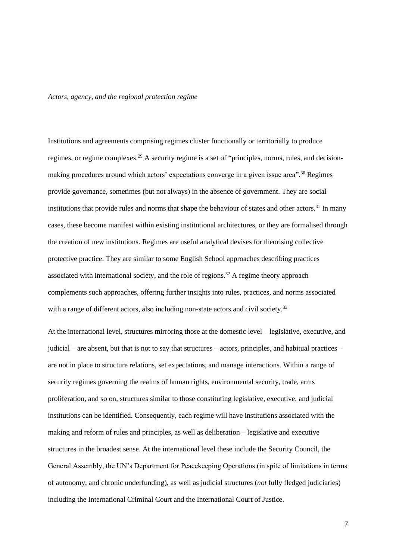#### *Actors, agency, and the regional protection regime*

Institutions and agreements comprising regimes cluster functionally or territorially to produce regimes, or regime complexes.<sup>29</sup> A security regime is a set of "principles, norms, rules, and decisionmaking procedures around which actors' expectations converge in a given issue area".<sup>30</sup> Regimes provide governance, sometimes (but not always) in the absence of government. They are social institutions that provide rules and norms that shape the behaviour of states and other actors.<sup>31</sup> In many cases, these become manifest within existing institutional architectures, or they are formalised through the creation of new institutions. Regimes are useful analytical devises for theorising collective protective practice. They are similar to some English School approaches describing practices associated with international society, and the role of regions.<sup>32</sup> A regime theory approach complements such approaches, offering further insights into rules, practices, and norms associated with a range of different actors, also including non-state actors and civil society.<sup>33</sup>

At the international level, structures mirroring those at the domestic level – legislative, executive, and judicial – are absent, but that is not to say that structures – actors, principles, and habitual practices – are not in place to structure relations, set expectations, and manage interactions. Within a range of security regimes governing the realms of human rights, environmental security, trade, arms proliferation, and so on, structures similar to those constituting legislative, executive, and judicial institutions can be identified. Consequently, each regime will have institutions associated with the making and reform of rules and principles, as well as deliberation – legislative and executive structures in the broadest sense. At the international level these include the Security Council, the General Assembly, the UN's Department for Peacekeeping Operations (in spite of limitations in terms of autonomy, and chronic underfunding), as well as judicial structures (*not* fully fledged judiciaries) including the International Criminal Court and the International Court of Justice.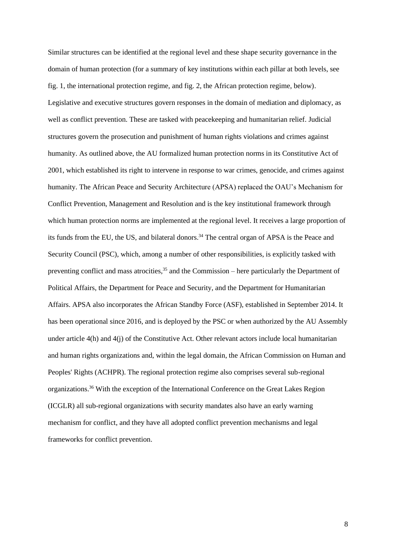Similar structures can be identified at the regional level and these shape security governance in the domain of human protection (for a summary of key institutions within each pillar at both levels, see fig. 1, the international protection regime, and fig. 2, the African protection regime, below). Legislative and executive structures govern responses in the domain of mediation and diplomacy, as well as conflict prevention. These are tasked with peacekeeping and humanitarian relief. Judicial structures govern the prosecution and punishment of human rights violations and crimes against humanity. As outlined above, the AU formalized human protection norms in its Constitutive Act of 2001, which established its right to intervene in response to war crimes, genocide, and crimes against humanity. The African Peace and Security Architecture (APSA) replaced the OAU's Mechanism for Conflict Prevention, Management and Resolution and is the key institutional framework through which human protection norms are implemented at the regional level. It receives a large proportion of its funds from the EU, the US, and bilateral donors.<sup>34</sup> The central organ of APSA is the Peace and Security Council (PSC), which, among a number of other responsibilities, is explicitly tasked with preventing conflict and mass atrocities,<sup>35</sup> and the Commission – here particularly the Department of Political Affairs, the Department for Peace and Security, and the Department for Humanitarian Affairs. APSA also incorporates the African Standby Force (ASF), established in September 2014. It has been operational since 2016, and is deployed by the PSC or when authorized by the AU Assembly under article 4(h) and 4(j) of the Constitutive Act. Other relevant actors include local humanitarian and human rights organizations and, within the legal domain, the African Commission on Human and Peoples' Rights (ACHPR). The regional protection regime also comprises several sub-regional organizations.<sup>36</sup> With the exception of the International Conference on the Great Lakes Region (ICGLR) all sub-regional organizations with security mandates also have an early warning mechanism for conflict, and they have all adopted conflict prevention mechanisms and legal frameworks for conflict prevention.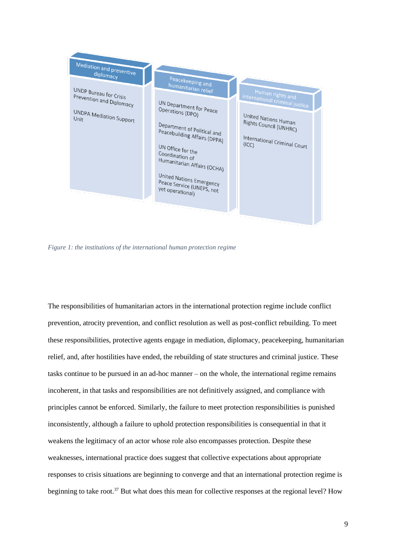

*Figure 1: the institutions of the international human protection regime*

The responsibilities of humanitarian actors in the international protection regime include conflict prevention, atrocity prevention, and conflict resolution as well as post-conflict rebuilding. To meet these responsibilities, protective agents engage in mediation, diplomacy, peacekeeping, humanitarian relief, and, after hostilities have ended, the rebuilding of state structures and criminal justice. These tasks continue to be pursued in an ad-hoc manner – on the whole, the international regime remains incoherent, in that tasks and responsibilities are not definitively assigned, and compliance with principles cannot be enforced. Similarly, the failure to meet protection responsibilities is punished inconsistently, although a failure to uphold protection responsibilities is consequential in that it weakens the legitimacy of an actor whose role also encompasses protection. Despite these weaknesses, international practice does suggest that collective expectations about appropriate responses to crisis situations are beginning to converge and that an international protection regime is beginning to take root.<sup>37</sup> But what does this mean for collective responses at the regional level? How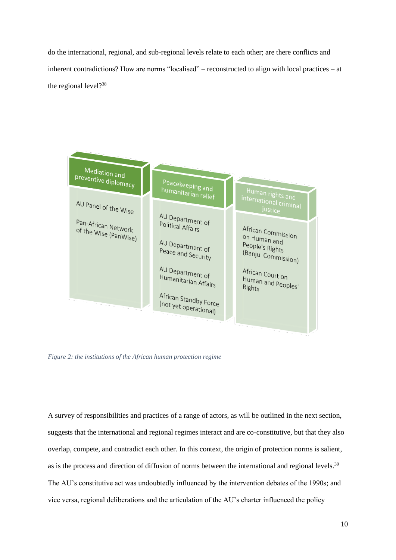do the international, regional, and sub-regional levels relate to each other; are there conflicts and inherent contradictions? How are norms "localised" – reconstructed to align with local practices – at the regional level?<sup>38</sup>



*Figure 2: the institutions of the African human protection regime*

A survey of responsibilities and practices of a range of actors, as will be outlined in the next section, suggests that the international and regional regimes interact and are co-constitutive, but that they also overlap, compete, and contradict each other. In this context, the origin of protection norms is salient, as is the process and direction of diffusion of norms between the international and regional levels.<sup>39</sup> The AU's constitutive act was undoubtedly influenced by the intervention debates of the 1990s; and vice versa, regional deliberations and the articulation of the AU's charter influenced the policy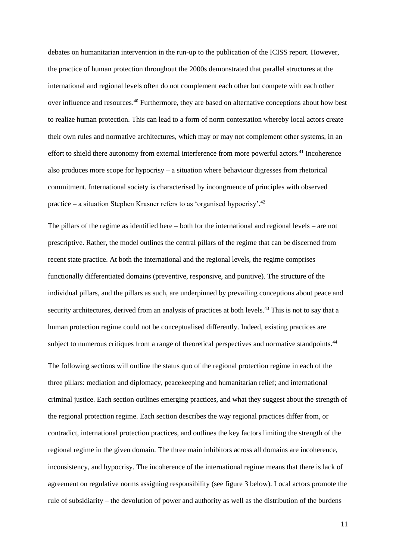debates on humanitarian intervention in the run-up to the publication of the ICISS report. However, the practice of human protection throughout the 2000s demonstrated that parallel structures at the international and regional levels often do not complement each other but compete with each other over influence and resources.<sup>40</sup> Furthermore, they are based on alternative conceptions about how best to realize human protection. This can lead to a form of norm contestation whereby local actors create their own rules and normative architectures, which may or may not complement other systems, in an effort to shield there autonomy from external interference from more powerful actors.<sup>41</sup> Incoherence also produces more scope for hypocrisy – a situation where behaviour digresses from rhetorical commitment. International society is characterised by incongruence of principles with observed practice – a situation Stephen Krasner refers to as 'organised hypocrisy'. 42

The pillars of the regime as identified here – both for the international and regional levels – are not prescriptive. Rather, the model outlines the central pillars of the regime that can be discerned from recent state practice. At both the international and the regional levels, the regime comprises functionally differentiated domains (preventive, responsive, and punitive). The structure of the individual pillars, and the pillars as such, are underpinned by prevailing conceptions about peace and security architectures, derived from an analysis of practices at both levels.<sup>43</sup> This is not to say that a human protection regime could not be conceptualised differently. Indeed, existing practices are subject to numerous critiques from a range of theoretical perspectives and normative standpoints.<sup>44</sup>

The following sections will outline the status quo of the regional protection regime in each of the three pillars: mediation and diplomacy, peacekeeping and humanitarian relief; and international criminal justice. Each section outlines emerging practices, and what they suggest about the strength of the regional protection regime. Each section describes the way regional practices differ from, or contradict, international protection practices, and outlines the key factors limiting the strength of the regional regime in the given domain. The three main inhibitors across all domains are incoherence, inconsistency, and hypocrisy. The incoherence of the international regime means that there is lack of agreement on regulative norms assigning responsibility (see figure 3 below). Local actors promote the rule of subsidiarity – the devolution of power and authority as well as the distribution of the burdens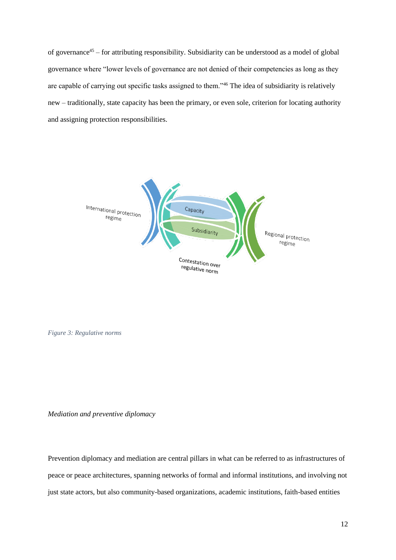of governance<sup>45</sup> – for attributing responsibility. Subsidiarity can be understood as a model of global governance where "lower levels of governance are not denied of their competencies as long as they are capable of carrying out specific tasks assigned to them."<sup>46</sup> The idea of subsidiarity is relatively new – traditionally, state capacity has been the primary, or even sole, criterion for locating authority and assigning protection responsibilities.



*Figure 3: Regulative norms*

*Mediation and preventive diplomacy*

Prevention diplomacy and mediation are central pillars in what can be referred to as infrastructures of peace or peace architectures, spanning networks of formal and informal institutions, and involving not just state actors, but also community-based organizations, academic institutions, faith-based entities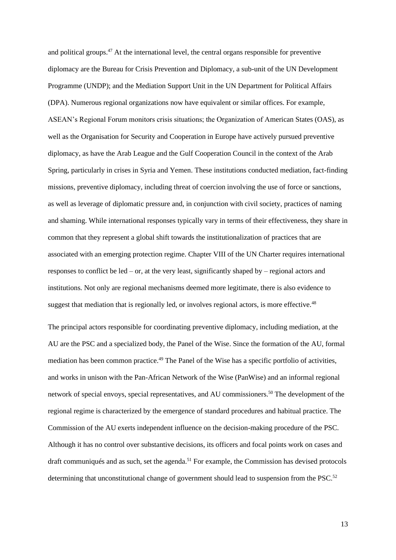and political groups.<sup>47</sup> At the international level, the central organs responsible for preventive diplomacy are the Bureau for Crisis Prevention and Diplomacy, a sub-unit of the UN Development Programme (UNDP); and the Mediation Support Unit in the UN Department for Political Affairs (DPA). Numerous regional organizations now have equivalent or similar offices. For example, ASEAN's Regional Forum monitors crisis situations; the Organization of American States (OAS), as well as the Organisation for Security and Cooperation in Europe have actively pursued preventive diplomacy, as have the Arab League and the Gulf Cooperation Council in the context of the Arab Spring, particularly in crises in Syria and Yemen. These institutions conducted mediation, fact-finding missions, preventive diplomacy, including threat of coercion involving the use of force or sanctions, as well as leverage of diplomatic pressure and, in conjunction with civil society, practices of naming and shaming. While international responses typically vary in terms of their effectiveness, they share in common that they represent a global shift towards the institutionalization of practices that are associated with an emerging protection regime. Chapter VIII of the UN Charter requires international responses to conflict be led – or, at the very least, significantly shaped by – regional actors and institutions. Not only are regional mechanisms deemed more legitimate, there is also evidence to suggest that mediation that is regionally led, or involves regional actors, is more effective.<sup>48</sup>

The principal actors responsible for coordinating preventive diplomacy, including mediation, at the AU are the PSC and a specialized body, the Panel of the Wise. Since the formation of the AU, formal mediation has been common practice.<sup>49</sup> The Panel of the Wise has a specific portfolio of activities, and works in unison with the Pan-African Network of the Wise (PanWise) and an informal regional network of special envoys, special representatives, and AU commissioners.<sup>50</sup> The development of the regional regime is characterized by the emergence of standard procedures and habitual practice. The Commission of the AU exerts independent influence on the decision-making procedure of the PSC. Although it has no control over substantive decisions, its officers and focal points work on cases and draft communiqués and as such, set the agenda.<sup>51</sup> For example, the Commission has devised protocols determining that unconstitutional change of government should lead to suspension from the PSC.<sup>52</sup>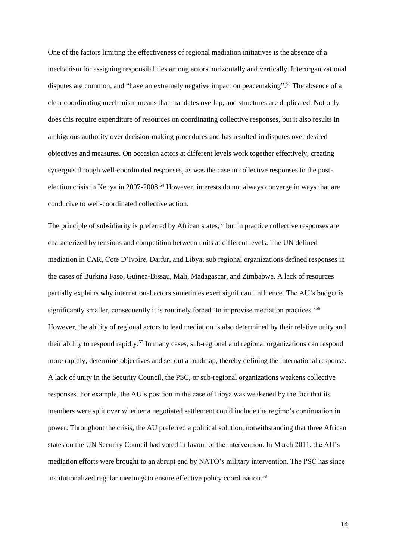One of the factors limiting the effectiveness of regional mediation initiatives is the absence of a mechanism for assigning responsibilities among actors horizontally and vertically. Interorganizational disputes are common, and "have an extremely negative impact on peacemaking".<sup>53</sup> The absence of a clear coordinating mechanism means that mandates overlap, and structures are duplicated. Not only does this require expenditure of resources on coordinating collective responses, but it also results in ambiguous authority over decision-making procedures and has resulted in disputes over desired objectives and measures. On occasion actors at different levels work together effectively, creating synergies through well-coordinated responses, as was the case in collective responses to the postelection crisis in Kenya in 2007-2008.<sup>54</sup> However, interests do not always converge in ways that are conducive to well-coordinated collective action.

The principle of subsidiarity is preferred by African states,<sup>55</sup> but in practice collective responses are characterized by tensions and competition between units at different levels. The UN defined mediation in CAR, Cote D'Ivoire, Darfur, and Libya; sub regional organizations defined responses in the cases of Burkina Faso, Guinea-Bissau, Mali, Madagascar, and Zimbabwe. A lack of resources partially explains why international actors sometimes exert significant influence. The AU's budget is significantly smaller, consequently it is routinely forced 'to improvise mediation practices.'<sup>56</sup> However, the ability of regional actors to lead mediation is also determined by their relative unity and their ability to respond rapidly.<sup>57</sup> In many cases, sub-regional and regional organizations can respond more rapidly, determine objectives and set out a roadmap, thereby defining the international response. A lack of unity in the Security Council, the PSC, or sub-regional organizations weakens collective responses. For example, the AU's position in the case of Libya was weakened by the fact that its members were split over whether a negotiated settlement could include the regime's continuation in power. Throughout the crisis, the AU preferred a political solution, notwithstanding that three African states on the UN Security Council had voted in favour of the intervention. In March 2011, the AU's mediation efforts were brought to an abrupt end by NATO's military intervention. The PSC has since institutionalized regular meetings to ensure effective policy coordination.<sup>58</sup>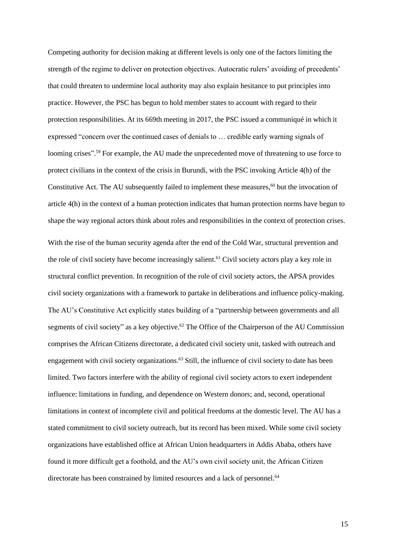Competing authority for decision making at different levels is only one of the factors limiting the strength of the regime to deliver on protection objectives. Autocratic rulers' avoiding of precedents' that could threaten to undermine local authority may also explain hesitance to put principles into practice. However, the PSC has begun to hold member states to account with regard to their protection responsibilities. At its 669th meeting in 2017, the PSC issued a communiqué in which it expressed "concern over the continued cases of denials to … credible early warning signals of looming crises".<sup>59</sup> For example, the AU made the unprecedented move of threatening to use force to protect civilians in the context of the crisis in Burundi, with the PSC invoking Article 4(h) of the Constitutive Act. The AU subsequently failed to implement these measures, $60$  but the invocation of article 4(h) in the context of a human protection indicates that human protection norms have begun to shape the way regional actors think about roles and responsibilities in the context of protection crises.

With the rise of the human security agenda after the end of the Cold War, structural prevention and the role of civil society have become increasingly salient.<sup>61</sup> Civil society actors play a key role in structural conflict prevention. In recognition of the role of civil society actors, the APSA provides civil society organizations with a framework to partake in deliberations and influence policy-making. The AU's Constitutive Act explicitly states building of a "partnership between governments and all segments of civil society" as a key objective.<sup>62</sup> The Office of the Chairperson of the AU Commission comprises the African Citizens directorate, a dedicated civil society unit, tasked with outreach and engagement with civil society organizations.<sup>63</sup> Still, the influence of civil society to date has been limited. Two factors interfere with the ability of regional civil society actors to exert independent influence: limitations in funding, and dependence on Western donors; and, second, operational limitations in context of incomplete civil and political freedoms at the domestic level. The AU has a stated commitment to civil society outreach, but its record has been mixed. While some civil society organizations have established office at African Union headquarters in Addis Ababa, others have found it more difficult get a foothold, and the AU's own civil society unit, the African Citizen directorate has been constrained by limited resources and a lack of personnel.<sup>64</sup>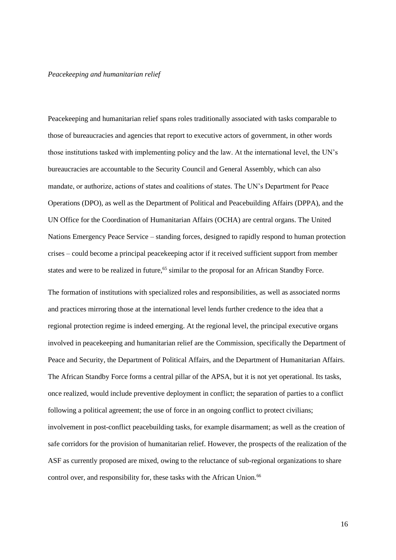### *Peacekeeping and humanitarian relief*

Peacekeeping and humanitarian relief spans roles traditionally associated with tasks comparable to those of bureaucracies and agencies that report to executive actors of government, in other words those institutions tasked with implementing policy and the law. At the international level, the UN's bureaucracies are accountable to the Security Council and General Assembly, which can also mandate, or authorize, actions of states and coalitions of states. The UN's Department for Peace Operations (DPO), as well as the Department of Political and Peacebuilding Affairs (DPPA), and the UN Office for the Coordination of Humanitarian Affairs (OCHA) are central organs. The United Nations Emergency Peace Service – standing forces, designed to rapidly respond to human protection crises – could become a principal peacekeeping actor if it received sufficient support from member states and were to be realized in future,<sup>65</sup> similar to the proposal for an African Standby Force.

The formation of institutions with specialized roles and responsibilities, as well as associated norms and practices mirroring those at the international level lends further credence to the idea that a regional protection regime is indeed emerging. At the regional level, the principal executive organs involved in peacekeeping and humanitarian relief are the Commission, specifically the Department of Peace and Security, the Department of Political Affairs, and the Department of Humanitarian Affairs. The African Standby Force forms a central pillar of the APSA, but it is not yet operational. Its tasks, once realized, would include preventive deployment in conflict; the separation of parties to a conflict following a political agreement; the use of force in an ongoing conflict to protect civilians; involvement in post-conflict peacebuilding tasks, for example disarmament; as well as the creation of safe corridors for the provision of humanitarian relief. However, the prospects of the realization of the ASF as currently proposed are mixed, owing to the reluctance of sub-regional organizations to share control over, and responsibility for, these tasks with the African Union.<sup>66</sup>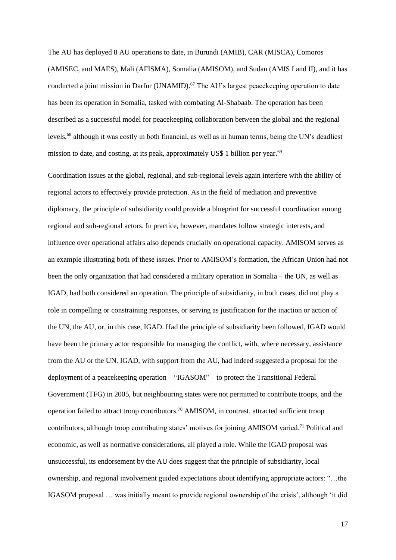The AU has deployed 8 AU operations to date, in Burundi (AMIB), CAR (MISCA), Comoros (AMISEC, and MAES), Mali (AFISMA), Somalia (AMISOM), and Sudan (AMIS I and II), and it has conducted a joint mission in Darfur (UNAMID).<sup>67</sup> The AU's largest peacekeeping operation to date has been its operation in Somalia, tasked with combating Al-Shabaab. The operation has been described as a successful model for peacekeeping collaboration between the global and the regional levels,<sup>68</sup> although it was costly in both financial, as well as in human terms, being the UN's deadliest mission to date, and costing, at its peak, approximately US\$ 1 billion per year.<sup>69</sup>

Coordination issues at the global, regional, and sub-regional levels again interfere with the ability of regional actors to effectively provide protection. As in the field of mediation and preventive diplomacy, the principle of subsidiarity could provide a blueprint for successful coordination among regional and sub-regional actors. In practice, however, mandates follow strategic interests, and influence over operational affairs also depends crucially on operational capacity. AMISOM serves as an example illustrating both of these issues. Prior to AMISOM's formation, the African Union had not been the only organization that had considered a military operation in Somalia – the UN, as well as IGAD, had both considered an operation. The principle of subsidiarity, in both cases, did not play a role in compelling or constraining responses, or serving as justification for the inaction or action of the UN, the AU, or, in this case, IGAD. Had the principle of subsidiarity been followed, IGAD would have been the primary actor responsible for managing the conflict, with, where necessary, assistance from the AU or the UN. IGAD, with support from the AU, had indeed suggested a proposal for the deployment of a peacekeeping operation – "IGASOM" – to protect the Transitional Federal Government (TFG) in 2005, but neighbouring states were not permitted to contribute troops, and the operation failed to attract troop contributors.<sup>70</sup> AMISOM, in contrast, attracted sufficient troop contributors, although troop contributing states' motives for joining AMISOM varied.<sup>71</sup> Political and economic, as well as normative considerations, all played a role. While the IGAD proposal was unsuccessful, its endorsement by the AU does suggest that the principle of subsidiarity, local ownership, and regional involvement guided expectations about identifying appropriate actors: "…the IGASOM proposal … was initially meant to provide regional ownership of the crisis', although 'it did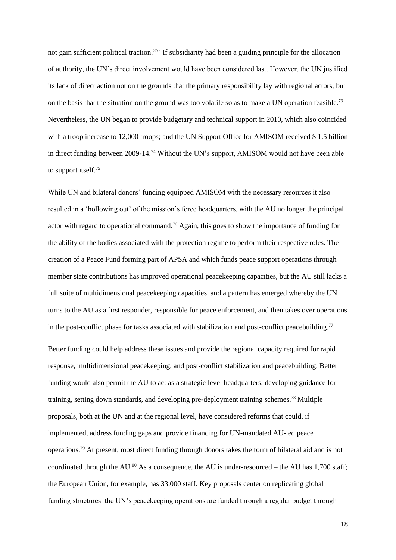not gain sufficient political traction."<sup>72</sup> If subsidiarity had been a guiding principle for the allocation of authority, the UN's direct involvement would have been considered last. However, the UN justified its lack of direct action not on the grounds that the primary responsibility lay with regional actors; but on the basis that the situation on the ground was too volatile so as to make a UN operation feasible.<sup>73</sup> Nevertheless, the UN began to provide budgetary and technical support in 2010, which also coincided with a troop increase to 12,000 troops; and the UN Support Office for AMISOM received \$1.5 billion in direct funding between 2009-14.<sup>74</sup> Without the UN's support, AMISOM would not have been able to support itself.<sup>75</sup>

While UN and bilateral donors' funding equipped AMISOM with the necessary resources it also resulted in a 'hollowing out' of the mission's force headquarters, with the AU no longer the principal actor with regard to operational command.<sup>76</sup> Again, this goes to show the importance of funding for the ability of the bodies associated with the protection regime to perform their respective roles. The creation of a Peace Fund forming part of APSA and which funds peace support operations through member state contributions has improved operational peacekeeping capacities, but the AU still lacks a full suite of multidimensional peacekeeping capacities, and a pattern has emerged whereby the UN turns to the AU as a first responder, responsible for peace enforcement, and then takes over operations in the post-conflict phase for tasks associated with stabilization and post-conflict peacebuilding.<sup>77</sup>

Better funding could help address these issues and provide the regional capacity required for rapid response, multidimensional peacekeeping, and post-conflict stabilization and peacebuilding. Better funding would also permit the AU to act as a strategic level headquarters, developing guidance for training, setting down standards, and developing pre-deployment training schemes.<sup>78</sup> Multiple proposals, both at the UN and at the regional level, have considered reforms that could, if implemented, address funding gaps and provide financing for UN-mandated AU-led peace operations.<sup>79</sup> At present, most direct funding through donors takes the form of bilateral aid and is not coordinated through the AU.<sup>80</sup> As a consequence, the AU is under-resourced – the AU has 1,700 staff; the European Union, for example, has 33,000 staff. Key proposals center on replicating global funding structures: the UN's peacekeeping operations are funded through a regular budget through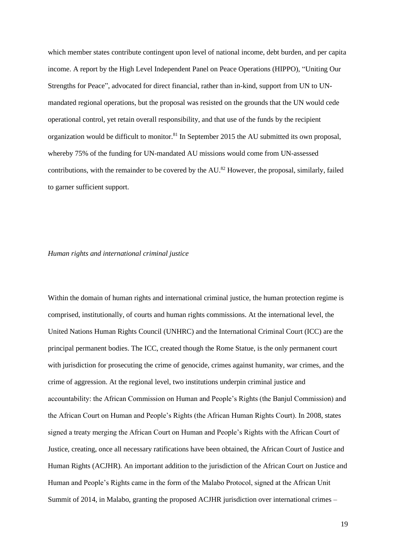which member states contribute contingent upon level of national income, debt burden, and per capita income. A report by the High Level Independent Panel on Peace Operations (HIPPO), "Uniting Our Strengths for Peace", advocated for direct financial, rather than in-kind, support from UN to UNmandated regional operations, but the proposal was resisted on the grounds that the UN would cede operational control, yet retain overall responsibility, and that use of the funds by the recipient organization would be difficult to monitor.<sup>81</sup> In September 2015 the AU submitted its own proposal, whereby 75% of the funding for UN-mandated AU missions would come from UN-assessed contributions, with the remainder to be covered by the AU.<sup>82</sup> However, the proposal, similarly, failed to garner sufficient support.

## *Human rights and international criminal justice*

Within the domain of human rights and international criminal justice, the human protection regime is comprised, institutionally, of courts and human rights commissions. At the international level, the United Nations Human Rights Council (UNHRC) and the International Criminal Court (ICC) are the principal permanent bodies. The ICC, created though the Rome Statue, is the only permanent court with jurisdiction for prosecuting the crime of genocide, crimes against humanity, war crimes, and the crime of aggression. At the regional level, two institutions underpin criminal justice and accountability: the African Commission on Human and People's Rights (the Banjul Commission) and the African Court on Human and People's Rights (the African Human Rights Court). In 2008, states signed a treaty merging the African Court on Human and People's Rights with the African Court of Justice, creating, once all necessary ratifications have been obtained, the African Court of Justice and Human Rights (ACJHR). An important addition to the jurisdiction of the African Court on Justice and Human and People's Rights came in the form of the Malabo Protocol, signed at the African Unit Summit of 2014, in Malabo, granting the proposed ACJHR jurisdiction over international crimes –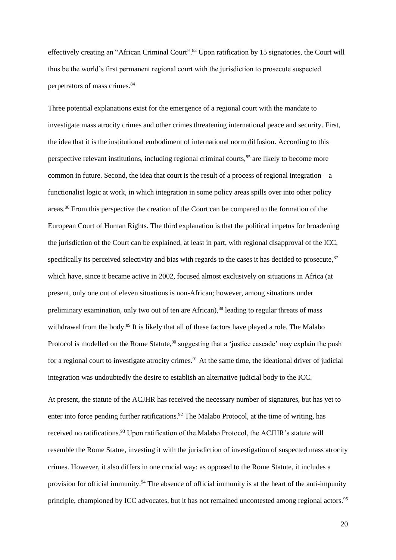effectively creating an "African Criminal Court".<sup>83</sup> Upon ratification by 15 signatories, the Court will thus be the world's first permanent regional court with the jurisdiction to prosecute suspected perpetrators of mass crimes.<sup>84</sup>

Three potential explanations exist for the emergence of a regional court with the mandate to investigate mass atrocity crimes and other crimes threatening international peace and security. First, the idea that it is the institutional embodiment of international norm diffusion. According to this perspective relevant institutions, including regional criminal courts,<sup>85</sup> are likely to become more common in future. Second, the idea that court is the result of a process of regional integration – a functionalist logic at work, in which integration in some policy areas spills over into other policy areas.<sup>86</sup> From this perspective the creation of the Court can be compared to the formation of the European Court of Human Rights. The third explanation is that the political impetus for broadening the jurisdiction of the Court can be explained, at least in part, with regional disapproval of the ICC, specifically its perceived selectivity and bias with regards to the cases it has decided to prosecute,  $87$ which have, since it became active in 2002, focused almost exclusively on situations in Africa (at present, only one out of eleven situations is non-African; however, among situations under preliminary examination, only two out of ten are African),<sup>88</sup> leading to regular threats of mass withdrawal from the body.<sup>89</sup> It is likely that all of these factors have played a role. The Malabo Protocol is modelled on the Rome Statute,<sup>90</sup> suggesting that a 'justice cascade' may explain the push for a regional court to investigate atrocity crimes.<sup>91</sup> At the same time, the ideational driver of judicial integration was undoubtedly the desire to establish an alternative judicial body to the ICC.

At present, the statute of the ACJHR has received the necessary number of signatures, but has yet to enter into force pending further ratifications.<sup>92</sup> The Malabo Protocol, at the time of writing, has received no ratifications.<sup>93</sup> Upon ratification of the Malabo Protocol, the ACJHR's statute will resemble the Rome Statue, investing it with the jurisdiction of investigation of suspected mass atrocity crimes. However, it also differs in one crucial way: as opposed to the Rome Statute, it includes a provision for official immunity.<sup>94</sup> The absence of official immunity is at the heart of the anti-impunity principle, championed by ICC advocates, but it has not remained uncontested among regional actors.<sup>95</sup>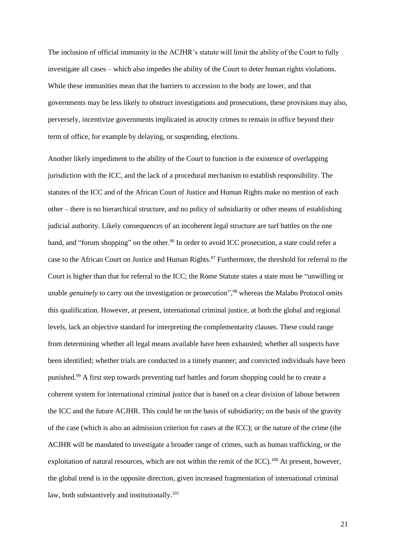The inclusion of official immunity in the ACJHR's statute will limit the ability of the Court to fully investigate all cases – which also impedes the ability of the Court to deter human rights violations. While these immunities mean that the barriers to accession to the body are lower, and that governments may be less likely to obstruct investigations and prosecutions, these provisions may also, perversely, incentivize governments implicated in atrocity crimes to remain in office beyond their term of office, for example by delaying, or suspending, elections.

Another likely impediment to the ability of the Court to function is the existence of overlapping jurisdiction with the ICC, and the lack of a procedural mechanism to establish responsibility. The statutes of the ICC and of the African Court of Justice and Human Rights make no mention of each other – there is no hierarchical structure, and no policy of subsidiarity or other means of establishing judicial authority. Likely consequences of an incoherent legal structure are turf battles on the one hand, and "forum shopping" on the other.<sup>96</sup> In order to avoid ICC prosecution, a state could refer a case to the African Court on Justice and Human Rights.<sup>97</sup> Furthermore, the threshold for referral to the Court is higher than that for referral to the ICC; the Rome Statute states a state must be "unwilling or unable *genuinely* to carry out the investigation or prosecution",<sup>98</sup> whereas the Malabo Protocol omits this qualification. However, at present, international criminal justice, at both the global and regional levels, lack an objective standard for interpreting the complementarity clauses. These could range from determining whether all legal means available have been exhausted; whether all suspects have been identified; whether trials are conducted in a timely manner; and convicted individuals have been punished.<sup>99</sup> A first step towards preventing turf battles and forum shopping could be to create a coherent system for international criminal justice that is based on a clear division of labour between the ICC and the future ACJHR. This could be on the basis of subsidiarity; on the basis of the gravity of the case (which is also an admission criterion for cases at the ICC); or the nature of the crime (the ACJHR will be mandated to investigate a broader range of crimes, such as human trafficking, or the exploitation of natural resources, which are not within the remit of the ICC).<sup>100</sup> At present, however, the global trend is in the opposite direction, given increased fragmentation of international criminal law, both substantively and institutionally. $101$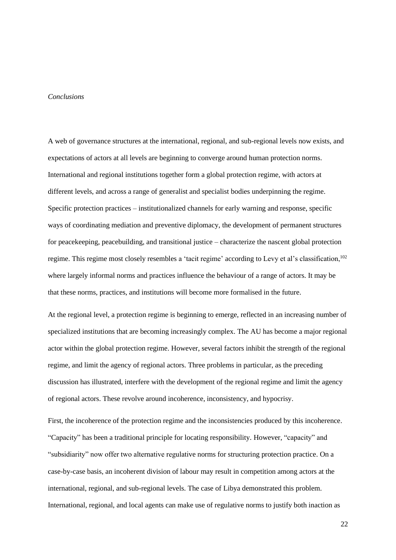### *Conclusions*

A web of governance structures at the international, regional, and sub-regional levels now exists, and expectations of actors at all levels are beginning to converge around human protection norms. International and regional institutions together form a global protection regime, with actors at different levels, and across a range of generalist and specialist bodies underpinning the regime. Specific protection practices – institutionalized channels for early warning and response, specific ways of coordinating mediation and preventive diplomacy, the development of permanent structures for peacekeeping, peacebuilding, and transitional justice – characterize the nascent global protection regime. This regime most closely resembles a 'tacit regime' according to Levy et al's classification,<sup>102</sup> where largely informal norms and practices influence the behaviour of a range of actors. It may be that these norms, practices, and institutions will become more formalised in the future.

At the regional level, a protection regime is beginning to emerge, reflected in an increasing number of specialized institutions that are becoming increasingly complex. The AU has become a major regional actor within the global protection regime. However, several factors inhibit the strength of the regional regime, and limit the agency of regional actors. Three problems in particular, as the preceding discussion has illustrated, interfere with the development of the regional regime and limit the agency of regional actors. These revolve around incoherence, inconsistency, and hypocrisy.

First, the incoherence of the protection regime and the inconsistencies produced by this incoherence. "Capacity" has been a traditional principle for locating responsibility. However, "capacity" and "subsidiarity" now offer two alternative regulative norms for structuring protection practice. On a case-by-case basis, an incoherent division of labour may result in competition among actors at the international, regional, and sub-regional levels. The case of Libya demonstrated this problem. International, regional, and local agents can make use of regulative norms to justify both inaction as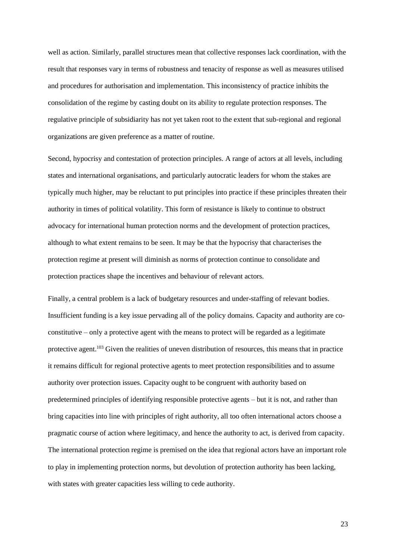well as action. Similarly, parallel structures mean that collective responses lack coordination, with the result that responses vary in terms of robustness and tenacity of response as well as measures utilised and procedures for authorisation and implementation. This inconsistency of practice inhibits the consolidation of the regime by casting doubt on its ability to regulate protection responses. The regulative principle of subsidiarity has not yet taken root to the extent that sub-regional and regional organizations are given preference as a matter of routine.

Second, hypocrisy and contestation of protection principles. A range of actors at all levels, including states and international organisations, and particularly autocratic leaders for whom the stakes are typically much higher, may be reluctant to put principles into practice if these principles threaten their authority in times of political volatility. This form of resistance is likely to continue to obstruct advocacy for international human protection norms and the development of protection practices, although to what extent remains to be seen. It may be that the hypocrisy that characterises the protection regime at present will diminish as norms of protection continue to consolidate and protection practices shape the incentives and behaviour of relevant actors.

Finally, a central problem is a lack of budgetary resources and under-staffing of relevant bodies. Insufficient funding is a key issue pervading all of the policy domains. Capacity and authority are coconstitutive – only a protective agent with the means to protect will be regarded as a legitimate protective agent.<sup>103</sup> Given the realities of uneven distribution of resources, this means that in practice it remains difficult for regional protective agents to meet protection responsibilities and to assume authority over protection issues. Capacity ought to be congruent with authority based on predetermined principles of identifying responsible protective agents – but it is not, and rather than bring capacities into line with principles of right authority, all too often international actors choose a pragmatic course of action where legitimacy, and hence the authority to act, is derived from capacity. The international protection regime is premised on the idea that regional actors have an important role to play in implementing protection norms, but devolution of protection authority has been lacking, with states with greater capacities less willing to cede authority.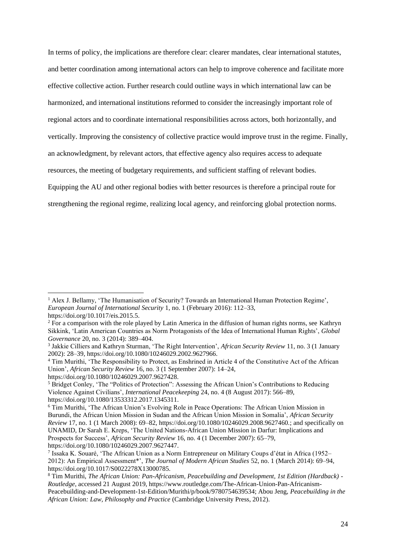In terms of policy, the implications are therefore clear: clearer mandates, clear international statutes, and better coordination among international actors can help to improve coherence and facilitate more effective collective action. Further research could outline ways in which international law can be harmonized, and international institutions reformed to consider the increasingly important role of regional actors and to coordinate international responsibilities across actors, both horizontally, and vertically. Improving the consistency of collective practice would improve trust in the regime. Finally, an acknowledgment, by relevant actors, that effective agency also requires access to adequate resources, the meeting of budgetary requirements, and sufficient staffing of relevant bodies. Equipping the AU and other regional bodies with better resources is therefore a principal route for strengthening the regional regime, realizing local agency, and reinforcing global protection norms.

<sup>&</sup>lt;sup>1</sup> Alex J. Bellamy, 'The Humanisation of Security? Towards an International Human Protection Regime', *European Journal of International Security* 1, no. 1 (February 2016): 112–33, https://doi.org/10.1017/eis.2015.5.

<sup>&</sup>lt;sup>2</sup> For a comparison with the role played by Latin America in the diffusion of human rights norms, see Kathryn Sikkink, 'Latin American Countries as Norm Protagonists of the Idea of International Human Rights', *Global Governance* 20, no. 3 (2014): 389–404.

<sup>3</sup> Jakkie Cilliers and Kathryn Sturman, 'The Right Intervention', *African Security Review* 11, no. 3 (1 January 2002): 28–39, https://doi.org/10.1080/10246029.2002.9627966.

<sup>&</sup>lt;sup>4</sup> Tim Murithi, 'The Responsibility to Protect, as Enshrined in Article 4 of the Constitutive Act of the African Union', *African Security Review* 16, no. 3 (1 September 2007): 14–24,

https://doi.org/10.1080/10246029.2007.9627428.

<sup>5</sup> Bridget Conley, 'The "Politics of Protection": Assessing the African Union's Contributions to Reducing Violence Against Civilians', *International Peacekeeping* 24, no. 4 (8 August 2017): 566–89, https://doi.org/10.1080/13533312.2017.1345311.

<sup>6</sup> Tim Murithi, 'The African Union's Evolving Role in Peace Operations: The African Union Mission in Burundi, the African Union Mission in Sudan and the African Union Mission in Somalia', *African Security Review* 17, no. 1 (1 March 2008): 69–82, https://doi.org/10.1080/10246029.2008.9627460.; and specifically on UNAMID, Dr Sarah E. Kreps, 'The United Nations-African Union Mission in Darfur: Implications and Prospects for Success', *African Security Review* 16, no. 4 (1 December 2007): 65–79, https://doi.org/10.1080/10246029.2007.9627447.

<sup>7</sup> Issaka K. Souaré, 'The African Union as a Norm Entrepreneur on Military Coups d'état in Africa (1952– 2012): An Empirical Assessment\*', *The Journal of Modern African Studies* 52, no. 1 (March 2014): 69–94, https://doi.org/10.1017/S0022278X13000785.

<sup>8</sup> Tim Murithi, *The African Union: Pan-Africanism, Peacebuilding and Development, 1st Edition (Hardback) - Routledge*, accessed 21 August 2019, https://www.routledge.com/The-African-Union-Pan-Africanism-Peacebuilding-and-Development-1st-Edition/Murithi/p/book/9780754639534; Abou Jeng, *Peacebuilding in the African Union: Law, Philosophy and Practice* (Cambridge University Press, 2012).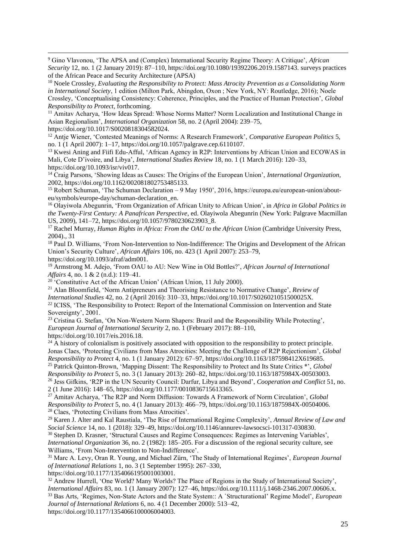<sup>9</sup> Gino Vlavonou, 'The APSA and (Complex) International Security Regime Theory: A Critique', *African Security* 12, no. 1 (2 January 2019): 87–110, https://doi.org/10.1080/19392206.2019.1587143. surveys practices of the African Peace and Security Architecture (APSA)

<sup>10</sup> Noele Crossley, *Evaluating the Responsibility to Protect: Mass Atrocity Prevention as a Consolidating Norm in International Society*, 1 edition (Milton Park, Abingdon, Oxon ; New York, NY: Routledge, 2016); Noele Crossley, 'Conceptualising Consistency: Coherence, Principles, and the Practice of Human Protection', *Global Responsibility to Protect*, forthcoming.

<sup>11</sup> Amitav Acharya, 'How Ideas Spread: Whose Norms Matter? Norm Localization and Institutional Change in Asian Regionalism', *International Organization* 58, no. 2 (April 2004): 239–75, https://doi.org/10.1017/S0020818304582024.

<sup>12</sup> Antje Wiener, 'Contested Meanings of Norms: A Research Framework', *Comparative European Politics* 5, no. 1 (1 April 2007): 1–17, https://doi.org/10.1057/palgrave.cep.6110107.

<sup>13</sup> Kwesi Aning and Fiifi Edu-Afful, 'African Agency in R2P: Interventions by African Union and ECOWAS in Mali, Cote D'ivoire, and Libya', *International Studies Review* 18, no. 1 (1 March 2016): 120–33, https://doi.org/10.1093/isr/viv017.

<sup>14</sup> Craig Parsons, 'Showing Ideas as Causes: The Origins of the European Union', *International Organization*, 2002, https://doi.org/10.1162/002081802753485133.

<sup>15</sup> Robert Schuman, 'The Schuman Declaration – 9 May 1950', 2016, https://europa.eu/european-union/abouteu/symbols/europe-day/schuman-declaration\_en.

<sup>16</sup> Olayiwola Abegunrin, 'From Organization of African Unity to African Union', in *Africa in Global Politics in the Twenty-First Century: A Panafrican Perspective*, ed. Olayiwola Abegunrin (New York: Palgrave Macmillan US, 2009), 141–72, https://doi.org/10.1057/9780230623903\_8.

<sup>17</sup> Rachel Murray, *Human Rights in Africa: From the OAU to the African Union* (Cambridge University Press, 2004)., 31

<sup>18</sup> Paul D. Williams, 'From Non-Intervention to Non-Indifference: The Origins and Development of the African Union's Security Culture', *African Affairs* 106, no. 423 (1 April 2007): 253–79,

https://doi.org/10.1093/afraf/adm001.

<sup>19</sup> Armstrong M. Adejo, 'From OAU to AU: New Wine in Old Bottles?', *African Journal of International Affairs* 4, no. 1 & 2 (n.d.): 119–41.

 $20$ <sup>'</sup>'Constitutive Act of the African Union' (African Union, 11 July 2000).

<sup>21</sup> Alan Bloomfield, 'Norm Antipreneurs and Theorising Resistance to Normative Change', *Review of International Studies* 42, no. 2 (April 2016): 310–33, https://doi.org/10.1017/S026021051500025X.

<sup>22</sup> ICISS, 'The Responsibility to Protect: Report of the International Commission on Intervention and State Sovereignty', 2001.

<sup>23</sup> Cristina G. Stefan, 'On Non-Western Norm Shapers: Brazil and the Responsibility While Protecting', *European Journal of International Security* 2, no. 1 (February 2017): 88–110, https://doi.org/10.1017/eis.2016.18.

 $^{24}$  A history of colonialism is positively associated with opposition to the responsibility to protect principle. Jonas Claes, 'Protecting Civilians from Mass Atrocities: Meeting the Challenge of R2P Rejectionism', *Global Responsibility to Protect* 4, no. 1 (1 January 2012): 67–97, https://doi.org/10.1163/187598412X619685.

<sup>25</sup> Patrick Quinton-Brown, 'Mapping Dissent: The Responsibility to Protect and Its State Critics \*', *Global Responsibility to Protect* 5, no. 3 (1 January 2013): 260–82, https://doi.org/10.1163/1875984X-00503003. <sup>26</sup> Jess Gifkins, 'R2P in the UN Security Council: Darfur, Libya and Beyond', *Cooperation and Conflict* 51, no. 2 (1 June 2016): 148–65, https://doi.org/10.1177/0010836715613365.

<sup>27</sup> Amitav Acharya, 'The R2P and Norm Diffusion: Towards A Framework of Norm Circulation', *Global Responsibility to Protect* 5, no. 4 (1 January 2013): 466–79, https://doi.org/10.1163/1875984X-00504006. <sup>28</sup> Claes, 'Protecting Civilians from Mass Atrocities'.

<sup>29</sup> Karen J. Alter and Kal Raustiala, 'The Rise of International Regime Complexity', *Annual Review of Law and Social Science* 14, no. 1 (2018): 329–49, https://doi.org/10.1146/annurev-lawsocsci-101317-030830.

<sup>30</sup> Stephen D. Krasner, 'Structural Causes and Regime Consequences: Regimes as Intervening Variables', *International Organization* 36, no. 2 (1982): 185–205. For a discussion of the regional security culture, see Williams, 'From Non-Intervention to Non-Indifference'.

<sup>31</sup> Marc A. Levy, Oran R. Young, and Michael Zürn, 'The Study of International Regimes', *European Journal of International Relations* 1, no. 3 (1 September 1995): 267–330,

https://doi.org/10.1177/1354066195001003001.

<sup>32</sup> Andrew Hurrell, 'One World? Many Worlds? The Place of Regions in the Study of International Society', *International Affairs* 83, no. 1 (1 January 2007): 127–46, https://doi.org/10.1111/j.1468-2346.2007.00606.x. <sup>33</sup> Bas Arts, 'Regimes, Non-State Actors and the State System:: A `Structurational' Regime Model', *European* 

*Journal of International Relations* 6, no. 4 (1 December 2000): 513–42, https://doi.org/10.1177/1354066100006004003.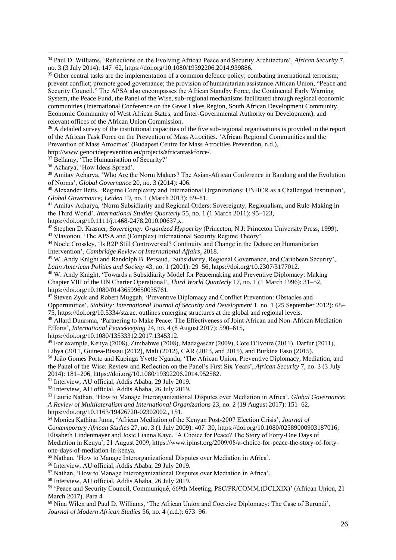<sup>34</sup> Paul D. Williams, 'Reflections on the Evolving African Peace and Security Architecture', *African Security* 7, no. 3 (3 July 2014): 147–62, https://doi.org/10.1080/19392206.2014.939886.

<sup>35</sup> Other central tasks are the implementation of a common defence policy; combating international terrorism; prevent conflict; promote good governance; the provision of humanitarian assistance African Union, "Peace and Security Council." The APSA also encompasses the African Standby Force, the Continental Early Warning System, the Peace Fund, the Panel of the Wise, sub-regional mechanisms facilitated through regional economic communities (International Conference on the Great Lakes Region, South African Development Community, Economic Community of West African States, and Inter-Governmental Authority on Development), and relevant offices of the African Union Commission.

<sup>36</sup> A detailed survey of the institutional capacities of the five sub-regional organisations is provided in the report of the African Task Force on the Prevention of Mass Atrocities. 'African Regional Communities and the Prevention of Mass Atrocities' (Budapest Centre for Mass Atrocities Prevention, n.d.),

http://www.genocideprevention.eu/projects/africantaskforce/.

<sup>37</sup> Bellamy, 'The Humanisation of Security?'

<sup>38</sup> Acharya, 'How Ideas Spread'.

<sup>39</sup> Amitav Acharya, 'Who Are the Norm Makers? The Asian-African Conference in Bandung and the Evolution of Norms', *Global Governance* 20, no. 3 (2014): 406.

<sup>40</sup> Alexander Betts, 'Regime Complexity and International Organizations: UNHCR as a Challenged Institution', *Global Governance; Leiden* 19, no. 1 (March 2013): 69–81.

<sup>41</sup> Amitav Acharya, 'Norm Subsidiarity and Regional Orders: Sovereignty, Regionalism, and Rule-Making in the Third World', *International Studies Quarterly* 55, no. 1 (1 March 2011): 95–123,

https://doi.org/10.1111/j.1468-2478.2010.00637.x.

<sup>42</sup> Stephen D. Krasner, *Sovereignty: Organized Hypocrisy* (Princeton, N.J: Princeton University Press, 1999). <sup>43</sup> Vlavonou, 'The APSA and (Complex) International Security Regime Theory'.

<sup>44</sup> Noele Crossley, 'Is R2P Still Controversial? Continuity and Change in the Debate on Humanitarian Intervention', *Cambridge Review of International Affairs*, 2018.

<sup>45</sup> W. Andy Knight and Randolph B. Persaud, 'Subsidiarity, Regional Governance, and Caribbean Security', *Latin American Politics and Society* 43, no. 1 (2001): 29–56, https://doi.org/10.2307/3177012.

<sup>46</sup> W. Andy Knight, 'Towards a Subsidiarity Model for Peacemaking and Preventive Diplomacy: Making Chapter VIII of the UN Charter Operational', *Third World Quarterly* 17, no. 1 (1 March 1996): 31–52, https://doi.org/10.1080/01436599650035761.

<sup>47</sup> Steven Zyck and Robert Muggah, 'Preventive Diplomacy and Conflict Prevention: Obstacles and Opportunities', *Stability: International Journal of Security and Development* 1, no. 1 (25 September 2012): 68– 75, https://doi.org/10.5334/sta.ac. outlines emerging structures at the global and regional levels.

<sup>48</sup> Allard Duursma, 'Partnering to Make Peace: The Effectiveness of Joint African and Non-African Mediation Efforts', *International Peacekeeping* 24, no. 4 (8 August 2017): 590–615,

https://doi.org/10.1080/13533312.2017.1345312.

<sup>49</sup> For example, Kenya (2008), Zimbabwe (2008), Madagascar (2009), Cote D'Ivoire (2011). Darfur (2011), Libya (2011, Guinea-Bissau (2012), Mali (2012), CAR (2013, and 2015), and Burkina Faso (2015).

<sup>50</sup> João Gomes Porto and Kapinga Yvette Ngandu, 'The African Union, Preventive Diplomacy, Mediation, and the Panel of the Wise: Review and Reflection on the Panel's First Six Years', *African Security* 7, no. 3 (3 July 2014): 181–206, https://doi.org/10.1080/19392206.2014.952582.

<sup>51</sup> Interview, AU official, Addis Ababa, 29 July 2019.

<sup>52</sup> Interview, AU official, Addis Ababa, 26 July 2019.

<sup>53</sup> Laurie Nathan, 'How to Manage Interorganizational Disputes over Mediation in Africa', *Global Governance: A Review of Multilateralism and International Organizations* 23, no. 2 (19 August 2017): 151–62, https://doi.org/10.1163/19426720-02302002., 151.

<sup>54</sup> Monica Kathina Juma, 'African Mediation of the Kenyan Post-2007 Election Crisis', *Journal of Contemporary African Studies* 27, no. 3 (1 July 2009): 407–30, https://doi.org/10.1080/02589000903187016; Elisabeth Lindenmayer and Josie Lianna Kaye, 'A Choice for Peace? The Story of Forty-One Days of Mediation in Kenya', 21 August 2009, https://www.ipinst.org/2009/08/a-choice-for-peace-the-story-of-fortyone-days-of-mediation-in-kenya.

<sup>55</sup> Nathan, 'How to Manage Interorganizational Disputes over Mediation in Africa'.

<sup>56</sup> Interview, AU official, Addis Ababa, 29 July 2019.

<sup>57</sup> Nathan, 'How to Manage Interorganizational Disputes over Mediation in Africa'.

<sup>58</sup> Interview, AU official, Addis Ababa, 26 July 2019.

<sup>59</sup> 'Peace and Security Council, Communiqué, 669th Meeting, PSC/PR/COMM.(DCLXIX)' (African Union, 21 March 2017). Para 4

<sup>60</sup> Nina Wilen and Paul D. Williams, 'The African Union and Coercive Diplomacy: The Case of Burundi', *Journal of Modern African Studies* 56, no. 4 (n.d.): 673–96.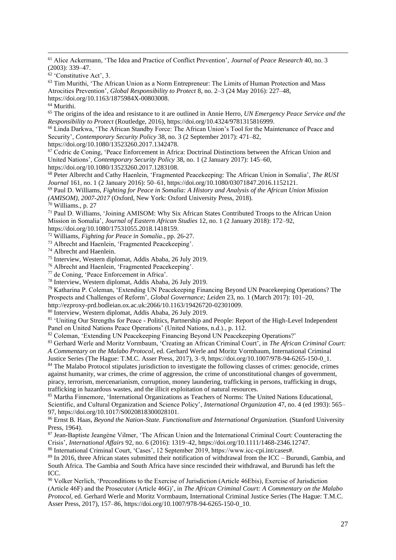<sup>61</sup> Alice Ackermann, 'The Idea and Practice of Conflict Prevention', *Journal of Peace Research* 40, no. 3 (2003): 339–47.

<sup>62</sup> 'Constitutive Act', 3.

<sup>63</sup> Tim Murithi, 'The African Union as a Norm Entrepreneur: The Limits of Human Protection and Mass Atrocities Prevention', *Global Responsibility to Protect* 8, no. 2–3 (24 May 2016): 227–48, https://doi.org/10.1163/1875984X-00803008.

<sup>64</sup> Murithi.

<sup>65</sup> The origins of the idea and resistance to it are outlined in Annie Herro, *UN Emergency Peace Service and the Responsibility to Protect* (Routledge, 2016), https://doi.org/10.4324/9781315816999.

<sup>66</sup> Linda Darkwa, 'The African Standby Force: The African Union's Tool for the Maintenance of Peace and Security', *Contemporary Security Policy* 38, no. 3 (2 September 2017): 471–82,

https://doi.org/10.1080/13523260.2017.1342478.

<sup>67</sup> Cedric de Coning, 'Peace Enforcement in Africa: Doctrinal Distinctions between the African Union and United Nations', *Contemporary Security Policy* 38, no. 1 (2 January 2017): 145–60, https://doi.org/10.1080/13523260.2017.1283108.

<sup>68</sup> Peter Albrecht and Cathy Haenlein, 'Fragmented Peacekeeping: The African Union in Somalia', *The RUSI Journal* 161, no. 1 (2 January 2016): 50–61, https://doi.org/10.1080/03071847.2016.1152121.

<sup>69</sup> Paul D. Williams, *Fighting for Peace in Somalia: A History and Analysis of the African Union Mission (AMISOM), 2007-2017* (Oxford, New York: Oxford University Press, 2018).

<sup>70</sup> Williams., p. 27

<sup>71</sup> Paul D. Williams, 'Joining AMISOM: Why Six African States Contributed Troops to the African Union Mission in Somalia', *Journal of Eastern African Studies* 12, no. 1 (2 January 2018): 172–92, https://doi.org/10.1080/17531055.2018.1418159.

<sup>72</sup> Williams, *Fighting for Peace in Somalia*., pp. 26-27.

<sup>73</sup> Albrecht and Haenlein, 'Fragmented Peacekeeping'.

<sup>74</sup> Albrecht and Haenlein.

<sup>75</sup> Interview, Western diplomat, Addis Ababa, 26 July 2019.

<sup>76</sup> Albrecht and Haenlein, 'Fragmented Peacekeeping'.

<sup>77</sup> de Coning, 'Peace Enforcement in Africa'.

<sup>78</sup> Interview, Western diplomat, Addis Ababa, 26 July 2019.

<sup>79</sup> Katharina P. Coleman, 'Extending UN Peacekeeping Financing Beyond UN Peacekeeping Operations? The Prospects and Challenges of Reform', *Global Governance; Leiden* 23, no. 1 (March 2017): 101–20,

http://ezproxy-prd.bodleian.ox.ac.uk:2066/10.1163/19426720-02301009.

<sup>80</sup> Interview, Western diplomat, Addis Ababa, 26 July 2019.

<sup>81</sup> 'Uniting Our Strengths for Peace - Politics, Partnership and People: Report of the High-Level Independent Panel on United Nations Peace Operations' (United Nations, n.d.)., p. 112.

82 Coleman, 'Extending UN Peacekeeping Financing Beyond UN Peacekeeping Operations?'

<sup>83</sup> Gerhard Werle and Moritz Vormbaum, 'Creating an African Criminal Court', in *The African Criminal Court: A Commentary on the Malabo Protocol*, ed. Gerhard Werle and Moritz Vormbaum, International Criminal

Justice Series (The Hague: T.M.C. Asser Press, 2017), 3–9, https://doi.org/10.1007/978-94-6265-150-0\_1. <sup>84</sup> The Malabo Protocol stipulates jurisdiction to investigate the following classes of crimes: genocide, crimes against humanity, war crimes, the crime of aggression, the crime of unconstitutional changes of government, piracy, terrorism, mercenarianism, corruption, money laundering, trafficking in persons, trafficking in drugs, trafficking in hazardous wastes, and the illicit exploitation of natural resources.

<sup>85</sup> Martha Finnemore, 'International Organizations as Teachers of Norms: The United Nations Educational, Scientific, and Cultural Organization and Science Policy', *International Organization* 47, no. 4 (ed 1993): 565– 97, https://doi.org/10.1017/S0020818300028101.

<sup>86</sup> Ernst B. Haas, *Beyond the Nation-State. Functionalism and International Organization.* (Stanford University Press, 1964).

<sup>87</sup> Jean-Baptiste Jeangène Vilmer, 'The African Union and the International Criminal Court: Counteracting the Crisis', *International Affairs* 92, no. 6 (2016): 1319–42, https://doi.org/10.1111/1468-2346.12747.

<sup>88</sup> International Criminal Court, 'Cases', 12 September 2019, https://www.icc-cpi.int/cases#.

<sup>89</sup> In 2016, three African states submitted their notification of withdrawal from the ICC – Burundi, Gambia, and South Africa. The Gambia and South Africa have since rescinded their withdrawal, and Burundi has left the ICC.

<sup>90</sup> Volker Nerlich, 'Preconditions to the Exercise of Jurisdiction (Article 46Ebis), Exercise of Jurisdiction (Article 46F) and the Prosecutor (Article 46G)', in *The African Criminal Court: A Commentary on the Malabo Protocol*, ed. Gerhard Werle and Moritz Vormbaum, International Criminal Justice Series (The Hague: T.M.C. Asser Press, 2017), 157–86, https://doi.org/10.1007/978-94-6265-150-0\_10.